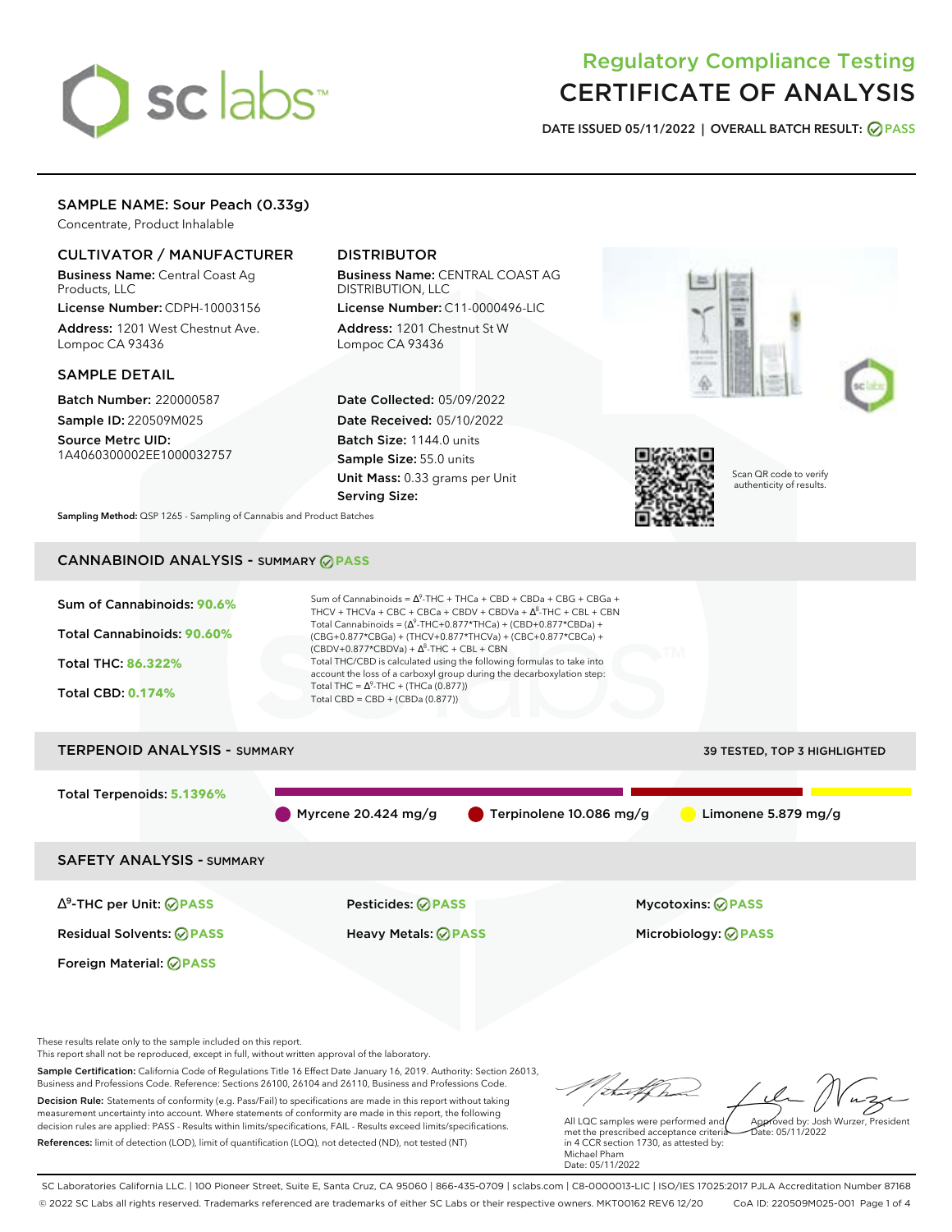# sclabs<sup>\*</sup>

# Regulatory Compliance Testing CERTIFICATE OF ANALYSIS

**DATE ISSUED 05/11/2022 | OVERALL BATCH RESULT: PASS**

### SAMPLE NAME: Sour Peach (0.33g)

Concentrate, Product Inhalable

#### CULTIVATOR / MANUFACTURER

Business Name: Central Coast Ag Products, LLC

License Number: CDPH-10003156 Address: 1201 West Chestnut Ave. Lompoc CA 93436

#### SAMPLE DETAIL

Batch Number: 220000587 Sample ID: 220509M025

Source Metrc UID: 1A4060300002EE1000032757

# DISTRIBUTOR

Business Name: CENTRAL COAST AG DISTRIBUTION, LLC License Number: C11-0000496-LIC

Address: 1201 Chestnut St W Lompoc CA 93436

Date Collected: 05/09/2022 Date Received: 05/10/2022 Batch Size: 1144.0 units Sample Size: 55.0 units Unit Mass: 0.33 grams per Unit Serving Size:





Scan QR code to verify authenticity of results.

**Sampling Method:** QSP 1265 - Sampling of Cannabis and Product Batches

# CANNABINOID ANALYSIS - SUMMARY **PASS**



These results relate only to the sample included on this report.

This report shall not be reproduced, except in full, without written approval of the laboratory.

Sample Certification: California Code of Regulations Title 16 Effect Date January 16, 2019. Authority: Section 26013, Business and Professions Code. Reference: Sections 26100, 26104 and 26110, Business and Professions Code. Decision Rule: Statements of conformity (e.g. Pass/Fail) to specifications are made in this report without taking measurement uncertainty into account. Where statements of conformity are made in this report, the following decision rules are applied: PASS - Results within limits/specifications, FAIL - Results exceed limits/specifications.

References: limit of detection (LOD), limit of quantification (LOQ), not detected (ND), not tested (NT)

Approved by: Josh Wurzer, President

 $hat: 05/11/2022$ 

All LQC samples were performed and met the prescribed acceptance criteria in 4 CCR section 1730, as attested by: Michael Pham Date: 05/11/2022

SC Laboratories California LLC. | 100 Pioneer Street, Suite E, Santa Cruz, CA 95060 | 866-435-0709 | sclabs.com | C8-0000013-LIC | ISO/IES 17025:2017 PJLA Accreditation Number 87168 © 2022 SC Labs all rights reserved. Trademarks referenced are trademarks of either SC Labs or their respective owners. MKT00162 REV6 12/20 CoA ID: 220509M025-001 Page 1 of 4